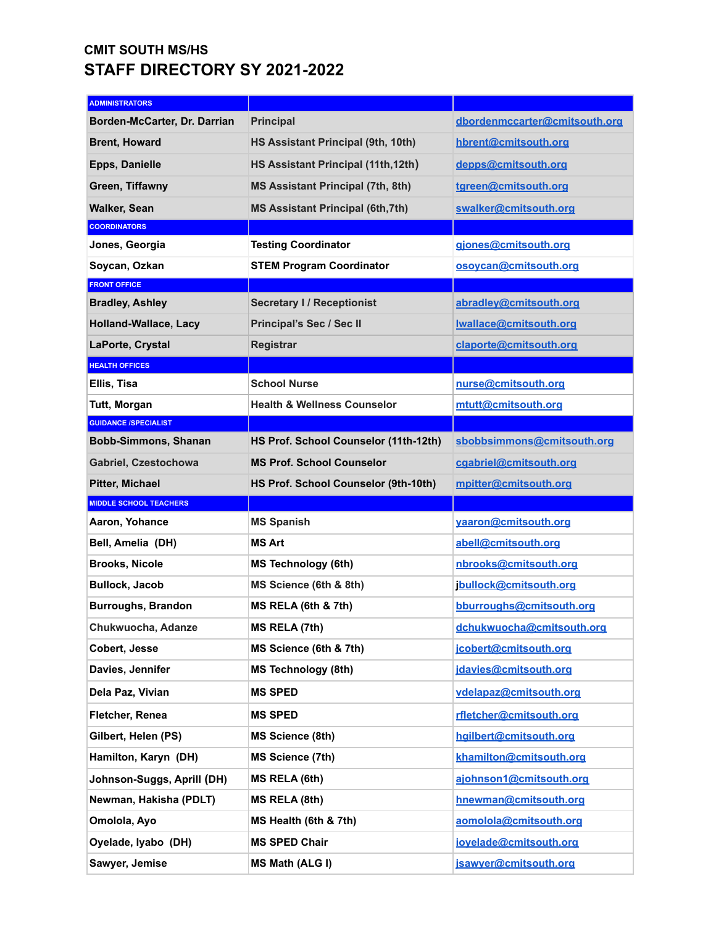## **CMIT SOUTH MS/HS STAFF DIRECTORY SY 2021-2022**

| <b>ADMINISTRATORS</b>         |                                          |                               |
|-------------------------------|------------------------------------------|-------------------------------|
| Borden-McCarter, Dr. Darrian  | <b>Principal</b>                         | dbordenmccarter@cmitsouth.org |
| <b>Brent, Howard</b>          | HS Assistant Principal (9th, 10th)       | hbrent@cmitsouth.org          |
| <b>Epps, Danielle</b>         | HS Assistant Principal (11th, 12th)      | depps@cmitsouth.org           |
| Green, Tiffawny               | <b>MS Assistant Principal (7th, 8th)</b> | tgreen@cmitsouth.org          |
| <b>Walker, Sean</b>           | <b>MS Assistant Principal (6th, 7th)</b> | swalker@cmitsouth.org         |
| <b>COORDINATORS</b>           |                                          |                               |
| Jones, Georgia                | <b>Testing Coordinator</b>               | giones@cmitsouth.org          |
| Soycan, Ozkan                 | <b>STEM Program Coordinator</b>          | osoycan@cmitsouth.org         |
| <b>FRONT OFFICE</b>           |                                          |                               |
| <b>Bradley, Ashley</b>        | <b>Secretary I / Receptionist</b>        | abradley@cmitsouth.org        |
| <b>Holland-Wallace, Lacy</b>  | Principal's Sec / Sec II                 | Iwallace@cmitsouth.org        |
| LaPorte, Crystal              | <b>Registrar</b>                         | claporte@cmitsouth.org        |
| <b>HEALTH OFFICES</b>         |                                          |                               |
| Ellis, Tisa                   | <b>School Nurse</b>                      | nurse@cmitsouth.org           |
| Tutt, Morgan                  | <b>Health &amp; Wellness Counselor</b>   | mtutt@cmitsouth.org           |
| <b>GUIDANCE /SPECIALIST</b>   |                                          |                               |
| <b>Bobb-Simmons, Shanan</b>   | HS Prof. School Counselor (11th-12th)    | sbobbsimmons@cmitsouth.org    |
| Gabriel, Czestochowa          | <b>MS Prof. School Counselor</b>         | cgabriel@cmitsouth.org        |
|                               |                                          |                               |
| <b>Pitter, Michael</b>        | HS Prof. School Counselor (9th-10th)     | mpitter@cmitsouth.org         |
| <b>MIDDLE SCHOOL TEACHERS</b> |                                          |                               |
| Aaron, Yohance                | <b>MS Spanish</b>                        | yaaron@cmitsouth.org          |
| Bell, Amelia (DH)             | MS Art                                   | abell@cmitsouth.org           |
| <b>Brooks, Nicole</b>         | <b>MS Technology (6th)</b>               | nbrooks@cmitsouth.org         |
| <b>Bullock, Jacob</b>         | MS Science (6th & 8th)                   | jbullock@cmitsouth.org        |
| <b>Burroughs, Brandon</b>     | MS RELA (6th & 7th)                      | bburroughs@cmitsouth.org      |
| Chukwuocha, Adanze            | <b>MS RELA (7th)</b>                     | dchukwuocha@cmitsouth.org     |
| Cobert, Jesse                 | MS Science (6th & 7th)                   | jcobert@cmitsouth.org         |
| Davies, Jennifer              | <b>MS Technology (8th)</b>               | jdavies@cmitsouth.org         |
| Dela Paz, Vivian              | <b>MS SPED</b>                           | vdelapaz@cmitsouth.org        |
| Fletcher, Renea               | <b>MS SPED</b>                           | rfletcher@cmitsouth.org       |
| Gilbert, Helen (PS)           | <b>MS Science (8th)</b>                  | hqilbert@cmitsouth.org        |
| Hamilton, Karyn (DH)          | <b>MS Science (7th)</b>                  | khamilton@cmitsouth.org       |
| Johnson-Suggs, Aprill (DH)    | MS RELA (6th)                            | ajohnson1@cmitsouth.org       |
| Newman, Hakisha (PDLT)        | MS RELA (8th)                            | hnewman@cmitsouth.org         |
| Omolola, Ayo                  | MS Health (6th & 7th)                    | aomolola@cmitsouth.org        |
| Oyelade, Iyabo (DH)           | <b>MS SPED Chair</b>                     | ioyelade@cmitsouth.org        |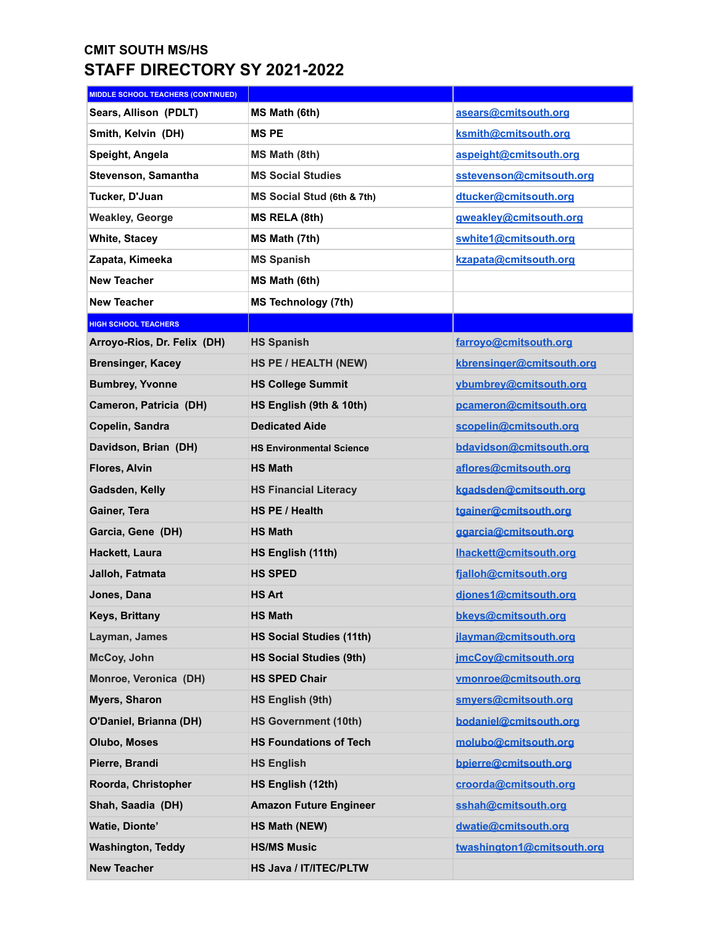## **CMIT SOUTH MS/HS STAFF DIRECTORY SY 2021-2022**

| <b>MIDDLE SCHOOL TEACHERS (CONTINUED)</b> |                                 |                            |
|-------------------------------------------|---------------------------------|----------------------------|
| Sears, Allison (PDLT)                     | MS Math (6th)                   | asears@cmitsouth.org       |
| Smith, Kelvin (DH)                        | <b>MSPE</b>                     | ksmith@cmitsouth.org       |
| Speight, Angela                           | MS Math (8th)                   | aspeight@cmitsouth.org     |
| Stevenson, Samantha                       | <b>MS Social Studies</b>        | sstevenson@cmitsouth.org   |
| Tucker, D'Juan                            | MS Social Stud (6th & 7th)      | dtucker@cmitsouth.org      |
| <b>Weakley, George</b>                    | MS RELA (8th)                   | gweakley@cmitsouth.org     |
| <b>White, Stacey</b>                      | MS Math (7th)                   | swhite1@cmitsouth.org      |
| Zapata, Kimeeka                           | <b>MS Spanish</b>               | kzapata@cmitsouth.org      |
| <b>New Teacher</b>                        | MS Math (6th)                   |                            |
| <b>New Teacher</b>                        | <b>MS Technology (7th)</b>      |                            |
| <b>HIGH SCHOOL TEACHERS</b>               |                                 |                            |
| Arroyo-Rios, Dr. Felix (DH)               | <b>HS Spanish</b>               | farroyo@cmitsouth.org      |
| <b>Brensinger, Kacey</b>                  | <b>HS PE / HEALTH (NEW)</b>     | kbrensinger@cmitsouth.org  |
| <b>Bumbrey, Yvonne</b>                    | <b>HS College Summit</b>        | ybumbrey@cmitsouth.org     |
| Cameron, Patricia (DH)                    | HS English (9th & 10th)         | pcameron@cmitsouth.org     |
| Copelin, Sandra                           | <b>Dedicated Aide</b>           | scopelin@cmitsouth.org     |
| Davidson, Brian (DH)                      | <b>HS Environmental Science</b> | bdavidson@cmitsouth.org    |
| <b>Flores, Alvin</b>                      | <b>HS Math</b>                  | aflores@cmitsouth.org      |
| Gadsden, Kelly                            | <b>HS Financial Literacy</b>    | kgadsden@cmitsouth.org     |
| Gainer, Tera                              | HS PE / Health                  | tgainer@cmitsouth.org      |
| Garcia, Gene (DH)                         | <b>HS Math</b>                  | ggarcia@cmitsouth.org      |
| Hackett, Laura                            | HS English (11th)               | Ihackett@cmitsouth.org     |
| Jalloh, Fatmata                           | <b>HS SPED</b>                  | fjalloh@cmitsouth.org      |
| Jones, Dana                               | <b>HS Art</b>                   | djones1@cmitsouth.org      |
| Keys, Brittany                            | <b>HS Math</b>                  | bkeys@cmitsouth.org        |
| Layman, James                             | <b>HS Social Studies (11th)</b> | jlayman@cmitsouth.org      |
| McCoy, John                               | <b>HS Social Studies (9th)</b>  | jmcCoy@cmitsouth.org       |
| Monroe, Veronica (DH)                     | <b>HS SPED Chair</b>            | vmonroe@cmitsouth.org      |
| <b>Myers, Sharon</b>                      | HS English (9th)                | smyers@cmitsouth.org       |
| O'Daniel, Brianna (DH)                    | <b>HS Government (10th)</b>     | bodaniel@cmitsouth.org     |
| <b>Olubo, Moses</b>                       | <b>HS Foundations of Tech</b>   | molubo@cmitsouth.org       |
| Pierre, Brandi                            | <b>HS English</b>               | bpierre@cmitsouth.org      |
| Roorda, Christopher                       | HS English (12th)               | croorda@cmitsouth.org      |
| Shah, Saadia (DH)                         | <b>Amazon Future Engineer</b>   | sshah@cmitsouth.org        |
| Watie, Dionte'                            | <b>HS Math (NEW)</b>            | dwatie@cmitsouth.org       |
| <b>Washington, Teddy</b>                  | <b>HS/MS Music</b>              | twashington1@cmitsouth.org |
| <b>New Teacher</b>                        | HS Java / IT/ITEC/PLTW          |                            |